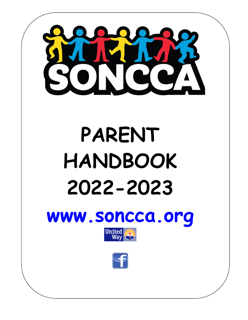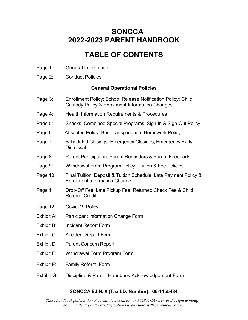### **SONCCA 2022-2023 PARENT HANDBOOK**

### **TABLE OF CONTENTS**

- Page 1: General Information
- Page 2: Conduct Policies

#### **General Operational Policies**

- Page 3: Enrollment Policy; School Release Notification Policy; Child Custody Policy & Enrollment Information Changes
- Page 4: Health Information Requirements & Procedures
- Page 5: Snacks, Combined Special Programs; Sign-In & Sign-Out Policy
- Page 6: Absentee Policy; Bus Transportation, Homework Policy
- Page 7: Scheduled Closings, Emergency Closings; Emergency Early **Dismissal**
- Page 8: Parent Participation, Parent Reminders & Parent Feedback
- Page 9: Withdrawal From Program Policy, Tuition & Fee Policies
- Page 10: Final Tuition, Deposit & Tuition Schedule; Late Payment Policy & Enrollment Information Change
- Page 11: Drop-Off Fee, Late Pickup Fee, Returned Check Fee & Child Referral Credit
- Page 12: Covid-19 Policy
- Exhibit A: Participant Information Change Form
- Exhibit B: Incident Report Form
- Exhibit C: Accident Report Form
- Exhibit D: Parent Concern Report
- Exhibit E: Withdrawal Form Program Form
- Exhibit F: Family Referral Form
- Exhibit G: Discipline & Parent Handbook Acknowledgement Form

#### **SONCCA E.I.N. # (Tax I.D. Number): 06-1155484**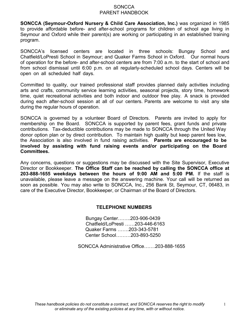**SONCCA (Seymour-Oxford Nursery & Child Care Association, Inc.)** was organized in 1985 to provide affordable before- and after-school programs for children of school age living in Seymour and Oxford while their parent(s) are working or participating in an established training program.

SONCCA's licensed centers are located in three schools: Bungay School and Chatfield/LoPresti School in Seymour; and Quaker Farms School in Oxford. Our normal hours of operation for the before- and after-school centers are from 7:00 a.m. to the start of school and from school dismissal until 6:00 p.m. on all regularly-scheduled school days. Centers will be open on all scheduled half days.

Committed to quality, our trained professional staff provides planned daily activities including arts and crafts, community service learning activities, seasonal projects, story time, homework time, quiet recreational activities and both indoor and outdoor free play. A snack is provided during each after-school session at all of our centers. Parents are welcome to visit any site during the regular hours of operation.

SONCCA is governed by a volunteer Board of Directors. Parents are invited to apply for membership on the Board. SONCCA is supported by parent fees, grant funds and private contributions. Tax-deductible contributions may be made to SONCCA through the United Way donor option plan or by direct contribution. To maintain high quality but keep parent fees low, the Association is also involved in fund raising activities. **Parents are encouraged to be involved by assisting with fund raising events and/or participating on the Board Committees.**

Any concerns, questions or suggestions may be discussed with the Site Supervisor, Executive Director or Bookkeeper. **The Office Staff can be reached by calling the SONCCA office at 203-888-1655 weekdays between the hours of 9:00 AM and 5:00 PM.** If the staff is unavailable, please leave a message on the answering machine. Your call will be returned as soon as possible. You may also write to SONCCA, Inc., 256 Bank St, Seymour, CT, 06483, in care of the Executive Director, Bookkeeper, or Chairman of the Board of Directors.

#### **TELEPHONE NUMBERS**

Bungay Center……..203-906-0439 Chatfield/LoPresti ……203-446-6163 Quaker Farms …….203-343-5781 Center School………203-893-5250

SONCCA Administrative Office…….203-888-1655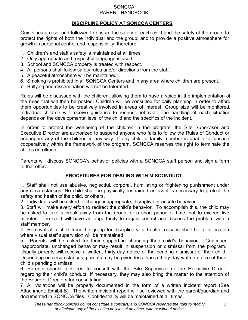#### **DISCIPLINE POLICY AT SONCCA CENTERS**

Guidelines are set and followed to ensure the safety of each child and the safety of the group; to protect the rights of both the individual and the group; and to provide a positive atmosphere for growth in personal control and responsibility; therefore:

- 1. Children's and staff's safety is maintained at all times.
- 2. Only appropriate and respectful language is used.
- 3. School and SONCCA property is treated with respect.
- 4. All persons shall follow safety rules and/or directions from the staff.
- 5. A peaceful atmosphere will be maintained.
- 6. Smoking is prohibited in all SONCCA Centers and in any area where children are present.
- 7. Bullying and discrimination will not be tolerated.

Rules will be discussed with the children, allowing them to have a voice in the implementation of the rules that will then be posted. Children will be consulted for daily planning in order to afford them opportunities to be creatively involved in areas of interest. Group size will be monitored. Individual children will receive guidance to redirect behavior. The handling of each situation depends on the developmental level of the child and the specifics of the incident.

In order to protect the well-being of the children in the program, the Site Supervisor and Executive Director are authorized to suspend anyone who fails to follow the Rules of Conduct or endangers any of the children in any way. If any child or family member is unable to function cooperatively within the framework of the program, SONCCA reserves the right to terminate the child's enrollment.

Parents will discuss SONCCA's behavior policies with a SONCCA staff person and sign a form to that effect.

#### **PROCEDURES FOR DEALING WITH MISCONDUCT**

1. Staff shall not use abusive, neglectful, corporal, humiliating or frightening punishment under any circumstances. No child shall be physically restrained unless it is necessary to protect the safety and health of the child, or others.

2. Individuals will be asked to change inappropriate, disruptive or unsafe behavior.

3. Staff will make every effort to redirect the child's behavior. To accomplish this, the child may be asked to take a break away from the group for a short period of time, not to exceed five minutes. The child will have an opportunity to regain control and discuss the problem with a staff member.

4. Removal of a child from the group for disciplinary or health reasons shall be to a location where visual staff supervision will be maintained.

5. Parents will be asked for their support in changing their child's behavior. Continued inappropriate, unchanged behavior may result in suspension or dismissal from the program. Usually parents will receive a written, thirty-day notice of the pending dismissal of their child. Depending on circumstances, parents may be given less than a thirty-day written notice of their

child's pending dismissal. 6. Parents should feel free to consult with the Site Supervisor or the Executive Director regarding their child's conduct. If necessary, they may also bring the matter to the attention of the Board of Directors for consultation.

7. All violations will be properly documented in the form of a written incident report (See Attachment: Exhibit-B). The written incident report will be reviewed with the parent/guardian and documented in SONCCA files. Confidentiality will be maintained at all times.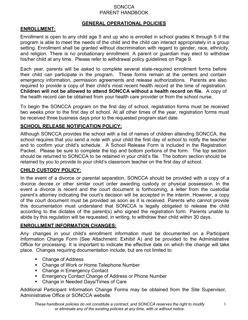#### **GENERAL OPERATIONAL POLICIES**

#### **ENROLLMENT:**

Enrollment is open to any child age 5 and up who is enrolled in school grades K through 5 if the program is able to meet the needs of the child and the child can interact appropriately in a group setting. Enrollment shall be granted without discrimination with regard to gender, race, ethnicity, and religion. There is no probationary enrollment. A parent or guardian may elect to withdraw his/her child at any time. Please refer to withdrawal policy guidelines on Page 9.

Each year, parents will be asked to complete several state-required enrollment forms before their child can participate in the program. These forms remain at the centers and contain emergency information, permission agreements and release authorizations. Parents are also required to provide a copy of their child's most recent health record at the time of registration. **Children will not be allowed to attend SONCCA without a health record on file.** A copy of the health record can be obtained from your health care provider or from the school nurse.

To begin the SONCCA program on the first day of school, registration forms must be received two weeks prior to the first day of school. At all other times of the year, registration forms must be received three business days prior to the requested program start date.

#### **SCHOOL RELEASE NOTIFICATION POLICY:**

Although SONCCA provides the school with a list of names of children attending SONCCA, the school requires that you send a note with your child the first day of school to notify the teacher and to confirm your child's schedule. A School Release Form is included in the Registration Packet. Please be sure to complete the top and bottom portions of the form. The top section should be returned to SONCCA to be retained in your child's file. The bottom section should be retained by you to provide to your child's classroom teacher on the first day of school.

#### **CHILD CUSTODY POLICY:**

In the event of a divorce or parental separation, SONCCA should be provided with a copy of a divorce decree or other similar court order awarding custody or physical possession. In the event a divorce is recent and the court document is forthcoming, a letter from the custodial parent's attorney indicating the court's decision will be accepted in the interim. However, a copy of the court document must be provided as soon as it is received. Parents who cannot provide this documentation must understand that SONCCA is legally obligated to release the child according to the dictates of the parent(s) who signed the registration form. Parents unable to abide by this regulation will be requested, in writing, to withdraw their child within 30 days.

#### **ENROLLMENT INFORMATION CHANGES:**

Any changes in your child's enrollment information must be documented on a Participant Information Change Form (See Attachment: Exhibit A) and be provided to the Administrative Office for processing. It is important to indicate the effective date on which the change will take place. Changes requiring documentation include, but are not limited to:

- Change of Address
- Change of Work or Home Telephone Number
- Change in Emergency Contact
- **Emergency Contact Change of Address or Phone Number**
- Change in Needed Days/Times of Care

Additional Participant Information Change Forms may be obtained from the Site Supervisor, Administrative Office or SONCCA website.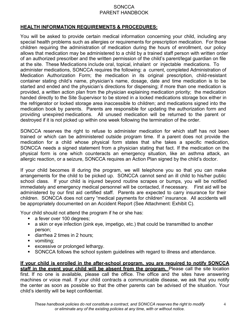#### **HEALTH INFORMATION REQUIREMENTS & PROCEDURES:**

You will be asked to provide certain medical information concerning your child, including any special health problems such as allergies or requirements for prescription medication. For those children requiring the administration of medication during the hours of enrollment, our policy allows that medication may be administered to a child by a trained staff person with written order of an authorized prescriber and the written permission of the child's parent/legal guardian on file at the site. These Medications include oral, topical, inhalant or injectable medications. To administer medications, SONCCA requires the following: a current, completed Administration of Medication Authorization Form; the medication in its original prescription, child-resistant container stating child's name, physician's name, dosage, date and time medication is to be started and ended and the physician's directions for dispensing; if more than one medication is provided, a written action plan from the physician explaining medication priority; the medication handed directly to the Site Supervisor to be stored in a locked medications storage box either in the refrigerator or locked storage area inaccessible to children; and medications signed into the medication book by parents. Parents are responsible for updating the authorization form and providing unexpired medications. All unused medication will be returned to the parent or destroyed if it is not picked up within one week following the termination of the order.

SONCCA reserves the right to refuse to administer medication for which staff has not been trained or which can be administered outside program time. If a parent does not provide the medication for a child whose physical form states that s/he takes a specific medication, SONCCA needs a signed statement from a physician stating that fact. If the medication on the physical form is one which counteracts an emergency situation, like an asthma attack, an allergic reaction, or a seizure, SONCCA requires an Action Plan signed by the child's doctor.

If your child becomes ill during the program, we will telephone you so that you can make arrangements for the child to be picked up. SONCCA cannot send an ill child to his/her public school class. If your child is injured beyond routine scrapes or bumps, you will be notified immediately and emergency medical personnel will be contacted, if necessary. First aid will be administered by our first aid certified staff. Parents are expected to carry insurance for their children. SONCCA does not carry "medical payments for children" insurance. All accidents will be appropriately documented on an Accident Report (See Attachment: Exhibit C).

Your child should not attend the program if he or she has:

- a fever over 100 degrees;
- a skin or eye infection (pink eye, impetigo, etc.) that could be transmitted to another person;
- diarrhea 2 times in 2 hours;
- vomiting;
- excessive or prolonged lethargy.
- SONCCA follows the school system guidelines with regard to illness and attendance.

**If your child is enrolled in the after-school program, you are required to notify SONCCA staff in the event your child will be absent from the program.** Please call the site location first. If no one is available, please call the office. The office and the sites have answering machines or voice mail. If your child contracts a communicable disease, we ask that you notify the center as soon as possible so that the other parents can be advised of the situation. Your child's identity will be kept confidential.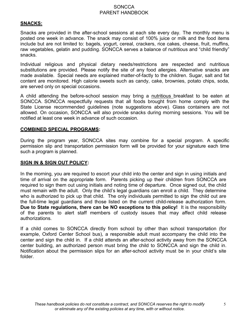#### **SNACKS:**

Snacks are provided in the after-school sessions at each site every day. The monthly menu is posted one week in advance. The snack may consist of 100% juice or milk and the food items include but are not limited to: bagels, yogurt, cereal, crackers, rice cakes, cheese, fruit, muffins, raw vegetables, gelatin and pudding. SONCCA serves a balance of nutritious and "child friendly" snacks.

Individual religious and physical dietary needs/restrictions are respected and nutritious substitutions are provided. Please notify the site of any food allergies. Alternative snacks are made available. Special needs are explained matter-of-factly to the children. Sugar, salt and fat content are monitored. High calorie sweets such as candy, cake, brownies, potato chips, soda, are served only on special occasions.

A child attending the before-school session may bring a nutritious breakfast to be eaten at SONCCA. SONCCA respectfully requests that all foods brought from home comply with the State License recommended guidelines (note suggestions above). Glass containers are not allowed. On occasion, SONCCA will also provide snacks during morning sessions. You will be notified at least one week in advance of such occasion.

#### **COMBINED SPECIAL PROGRAMS:**

During the program year, SONCCA sites may combine for a special program. A specific permission slip and transportation permission form will be provided for your signature each time such a program is planned.

#### **SIGN IN & SIGN OUT POLICY:**

In the morning, you are required to escort your child into the center and sign in using initials and time of arrival on the appropriate form. Parents picking up their children from SONCCA are required to sign them out using initials and noting time of departure. Once signed out, the child must remain with the adult. Only the child's legal guardians can enroll a child. They determine who is authorized to pick up that child. The only individuals permitted to sign the child out are the full-time legal guardians and those listed on the current child-release authorization form. **Due to State regulations, there can be NO exceptions to this policy!** It is the responsibility of the parents to alert staff members of custody issues that may affect child release authorizations.

If a child comes to SONCCA directly from school by other than school transportation (for example, Oxford Center School bus), a responsible adult must accompany the child into the center and sign the child in. If a child attends an after-school activity away from the SONCCA center building, an authorized person must bring the child to SONCCA and sign the child in. Notification about the permission slips for an after-school activity must be in your child's site folder.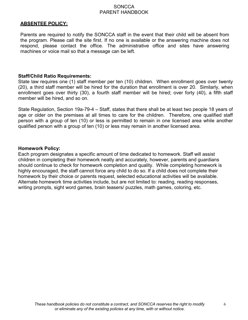#### **ABSENTEE POLICY:**

Parents are required to notify the SONCCA staff in the event that their child will be absent from the program. Please call the site first. If no one is available or the answering machine does not respond, please contact the office. The administrative office and sites have answering machines or voice mail so that a message can be left.

#### **Staff/Child Ratio Requirements:**

State law requires one (1) staff member per ten (10) children. When enrollment goes over twenty (20), a third staff member will be hired for the duration that enrollment is over 20. Similarly, when enrollment goes over thirty (30), a fourth staff member will be hired; over forty (40), a fifth staff member will be hired, and so on.

State Regulation, Section 19a-79-4 – Staff, states that there shall be at least two people 18 years of age or older on the premises at all times to care for the children. Therefore, one qualified staff person with a group of ten (10) or less is permitted to remain in one licensed area while another qualified person with a group of ten (10) or less may remain in another licensed area.

#### **Homework Policy:**

Each program designates a specific amount of time dedicated to homework. Staff will assist children in completing their homework neatly and accurately, however, parents and guardians should continue to check for homework completion and quality. While completing homework is highly encouraged, the staff cannot force any child to do so. If a child does not complete their homework by their choice or parents request, selected educational activities will be available. Alternate homework time activities include, but are not limited to: reading, reading responses, writing prompts, sight word games, brain teasers/ puzzles, math games, coloring, etc.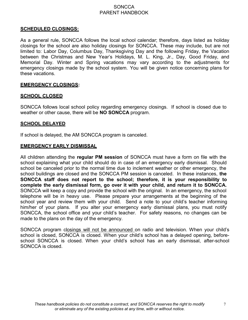#### **SCHEDULED CLOSINGS:**

As a general rule, SONCCA follows the local school calendar; therefore, days listed as holiday closings for the school are also holiday closings for SONCCA. These may include, but are not limited to: Labor Day, Columbus Day, Thanksgiving Day and the following Friday, the Vacation between the Christmas and New Year's Holidays, M. L. King, Jr., Day, Good Friday, and Memorial Day. Winter and Spring vacations may vary according to the adjustments for emergency closings made by the school system. You will be given notice concerning plans for these vacations.

#### **EMERGENCY CLOSINGS:**

#### **SCHOOL CLOSED**

SONCCA follows local school policy regarding emergency closings. If school is closed due to weather or other cause, there will be **NO SONCCA** program.

#### **SCHOOL DELAYED**

If school is delayed, the AM SONCCA program is canceled.

#### **EMERGENCY EARLY DISMISSAL**

All children attending the **regular PM session** of SONCCA must have a form on file with the school explaining what your child should do in case of an emergency early dismissal. Should school be canceled prior to the normal time due to inclement weather or other emergency, the school buildings are closed and the SONCCA PM session is canceled. In these instances, **the SONCCA staff does not report to the school; therefore, it is your responsibility to complete the early dismissal form, go over it with your child, and return it to SONCCA.** SONCCA will keep a copy and provide the school with the original. In an emergency, the school telephone will be in heavy use. Please prepare your arrangements at the beginning of the school year and review them with your child. Send a note to your child's teacher informing him/her of your plans. If you alter your emergency early dismissal plans, you must notify SONCCA, the school office and your child's teacher. For safety reasons, no changes can be made to the plans on the day of the emergency.

SONCCA program closings will not be announced on radio and television. When your child's school is closed, SONCCA is closed. When your child's school has a delayed opening, beforeschool SONCCA is closed. When your child's school has an early dismissal, after-school SONCCA is closed.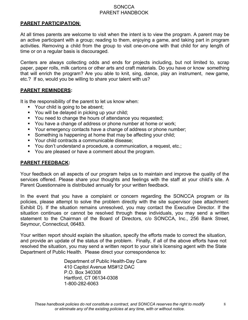#### **PARENT PARTICIPATION**:

At all times parents are welcome to visit when the intent is to view the program. A parent may be an active participant with a group; reading to them, enjoying a game, and taking part in program activities. Removing a child from the group to visit one-on-one with that child for any length of time or on a regular basis is discouraged.

Centers are always collecting odds and ends for projects including, but not limited to, scrap paper, paper rolls, milk cartons or other arts and craft materials. Do you have or know something that will enrich the program? Are you able to knit, sing, dance, play an instrument, new game, etc.? If so, would you be willing to share your talent with us?

#### **PARENT REMINDERS:**

It is the responsibility of the parent to let us know when:

- Your child is going to be absent;
- You will be delayed in picking up your child;
- **You need to change the hours of attendance you requested;**
- You have a change of address or phone number at home or work;
- Your emergency contacts have a change of address or phone number;
- Something is happening at home that may be affecting your child;
- Your child contracts a communicable disease:
- You don't understand a procedure, a communication, a request, etc.;
- You are pleased or have a comment about the program.

#### **PARENT FEEDBACK:**

Your feedback on all aspects of our program helps us to maintain and improve the quality of the services offered. Please share your thoughts and feelings with the staff at your child's site. A Parent Questionnaire is distributed annually for your written feedback.

In the event that you have a complaint or concern regarding the SONCCA program or its policies, please attempt to solve the problem directly with the site supervisor (see attachment: Exhibit D). If the situation remains unresolved, you may contact the Executive Director. If the situation continues or cannot be resolved through these individuals, you may send a written statement to the Chairman of the Board of Directors, c/o SONCCA, Inc., 256 Bank Street, Seymour, Connecticut, 06483.

Your written report should explain the situation, specify the efforts made to correct the situation, and provide an update of the status of the problem. Finally, if all of the above efforts have not resolved the situation, you may send a written report to your site's licensing agent with the State Department of Public Health. Please direct your correspondence to:

> Department of Public Health-Day Care 410 Capitol Avenue MS#12 DAC P.O. Box 340308 Hartford, CT 06134-0308 1-800-282-6063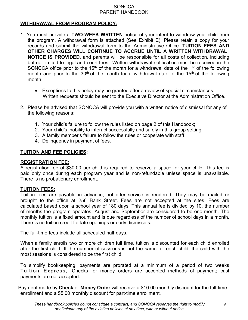#### **WITHDRAWAL FROM PROGRAM POLICY:**

- 1. You must provide a **TWO-WEEK WRITTEN** notice of your intent to withdraw your child from the program. A withdrawal form is attached (See Exhibit E). Please retain a copy for your records and submit the withdrawal form to the Administrative Office. **TUITION FEES AND OTHER CHARGES WILL CONTINUE TO ACCRUE UNTIL A WRITTEN WITHDRAWAL NOTICE IS PROVIDED**, and parents will be responsible for all costs of collection, including but not limited to legal and court fees. Written withdrawal notification must be received in the SONCCA office prior to the 15<sup>th</sup> of the month for a withdrawal date of the 1<sup>st</sup> of the following month and prior to the 30<sup>th</sup> of the month for a withdrawal date of the 15<sup>th</sup> of the following month.
	- Exceptions to this policy may be granted after a review of special circumstances. Written requests should be sent to the Executive Director at the Administration Office.
- 2. Please be advised that SONCCA will provide you with a written notice of dismissal for any of the following reasons:
	- 1. Your child's failure to follow the rules listed on page 2 of this Handbook;
	- 2. Your child's inability to interact successfully and safely in this group setting;
	- 3. A family member's failure to follow the rules or cooperate with staff.
	- 4. Delinquency in payment of fees.

#### **TUITION AND FEE POLICIES:**

#### **REGISTRATION FEE:**

A registration fee of \$30.00 per child is required to reserve a space for your child. This fee is paid only once during each program year and is non-refundable unless space is unavailable. There is no probationary enrollment.

#### **TUITION FEES:**

Tuition fees are payable in advance, not after service is rendered. They may be mailed or brought to the office at 256 Bank Street. Fees are not accepted at the sites. Fees are calculated based upon a school year of 180 days. This annual fee is divided by 10, the number of months the program operates. August and September are considered to be one month. The monthly tuition is a fixed amount and is due regardless of the number of school days in a month. There is no tuition credit for late openings or early dismissals.

The full-time fees include all scheduled half days.

When a family enrolls two or more children full time, tuition is discounted for each child enrolled after the first child. If the number of sessions is not the same for each child, the child with the most sessions is considered to be the first child.

To simplify bookkeeping, payments are prorated at a minimum of a period of two weeks. Tuition Express, Checks, or money orders are accepted methods of payment; cash payments are not accepted.

Payment made by **Check** or **Money Order** will receive a \$10.00 monthly discount for the full-time enrollment and a \$5.00 monthly discount for part-time enrollment.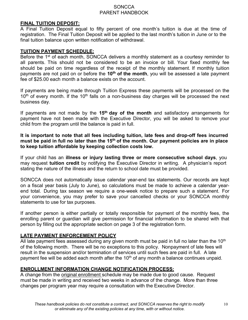#### **FINAL TUITION DEPOSIT:**

A Final Tuition Deposit equal to fifty percent of one month's tuition is due at the time of registration. The Final Tuition Deposit will be applied to the last month's tuition in June or to the final tuition balance upon written notification of withdrawal.

#### **TUITION PAYMENT SCHEDULE:**

Before the 1<sup>st</sup> of each month, SONCCA delivers a monthly statement as a courtesy reminder to all parents. This should not be considered to be an invoice or bill. Your fixed monthly fee should be paid on time regardless of the receipt of the monthly statement. If monthly tuition payments are not paid on or before the **10th of the month**, you will be assessed a late payment fee of \$25.00 each month a balance exists on the account.

If payments are being made through Tuition Express these payments will be processed on the  $10<sup>th</sup>$  of every month. If the  $10<sup>th</sup>$  falls on a non-business day charges will be processed the next business day.

If payments are not made by the **15th day of the month** and satisfactory arrangements for payment have not been made with the Executive Director, you will be asked to remove your child from the program until the balance is paid in full.

**It is important to note that all fees including tuition, late fees and drop-off fees incurred must be paid in full no later than the 15th of the month. Our payment policies are in place to keep tuition affordable by keeping collection costs low.**

If your child has an **illness or injury lasting three or more consecutive school days**, you may request **tuition credit** by notifying the Executive Director in writing. A physician's report stating the nature of the illness and the return to school date must be provided.

SONCCA does not automatically issue calendar year-end tax statements. Our records are kept on a fiscal year basis (July to June), so calculations must be made to achieve a calendar yearend total. During tax season we require a one-week notice to prepare such a statement. For your convenience, you may prefer to save your cancelled checks or your SONCCA monthly statements to use for tax purposes.

If another person is either partially or totally responsible for payment of the monthly fees, the enrolling parent or guardian will give permission for financial information to be shared with that person by filling out the appropriate section on page 3 of the registration form.

#### **LATE PAYMENT ENFORCEMENT POLICY**

All late payment fees assessed during any given month must be paid in full no later than the 10<sup>th</sup> of the following month. There will be no exceptions to this policy. Nonpayment of late fees will result in the suspension and/or termination of services until such fees are paid in full. A late payment fee will be added each month after the  $10<sup>th</sup>$  of any month a balance continues unpaid.

#### **ENROLLMENT INFORMATION CHANGE NOTIFICATION PROCESS:**

A change from the original enrollment schedule may be made due to good cause. Request must be made in writing and received two weeks in advance of the change. More than three changes per program year may require a consultation with the Executive Director.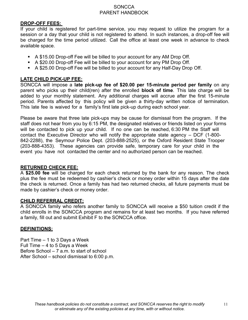#### **DROP-OFF FEES:**

If your child is registered for part-time service, you may request to utilize the program for a session or a day that your child is not registered to attend. In such instances, a drop-off fee will be charged for the time period utilized. Call the office at least one week in advance to check available space.

- A \$15.00 Drop-off Fee will be billed to your account for any AM Drop Off.
- A \$20.00 Drop-off Fee will be billed to your account for any PM Drop Off.
- A \$25.00 Drop-off Fee will be billed to your account for any Half-Day Drop Off.

#### **LATE CHILD PICK-UP FEE:**

SONCCA will impose a **late pick-up fee of \$20.00 per 15-minute period per family** on any parent who picks up their child(ren) after the enrolled **block of time**. This late charge will be added to your monthly statement. Any additional charges will accrue after the first 15-minute period. Parents affected by this policy will be given a thirty-day written notice of termination. This late fee is waived for a family's first late pick-up during each school year.

Please be aware that three late pick-ups may be cause for dismissal from the program. If the staff does not hear from you by 6:15 PM, the designated relatives or friends listed on your forms will be contacted to pick up your child. If no one can be reached, 6:30 PM the Staff will contact the Executive Director who will notify the appropriate state agency – DCF (1-800- 842-2288), the Seymour Police Dept. (203-888-2525), or the Oxford Resident State Trooper (203-888-4353). These agencies can provide safe, temporary care for your child in the event you have not contacted the center and no authorized person can be reached.

#### **RETURNED CHECK FEE:**

A **\$25.00 fee** will be charged for each check returned by the bank for any reason. The check plus the fee must be redeemed by cashier's check or money order within 15 days after the date the check is returned. Once a family has had two returned checks, all future payments must be made by cashier's check or money order.

#### **CHILD REFERRAL CREDIT:**

A SONCCA family who refers another family to SONCCA will receive a \$50 tuition credit if the child enrolls in the SONCCA program and remains for at least two months. If you have referred a family, fill out and submit Exhibit F to the SONCCA office.

#### **DEFINITIONS:**

Part Time – 1 to 3 Days a Week Full Time – 4 to 5 Days a Week Before School – 7 a.m. to start of school After School – school dismissal to 6:00 p.m.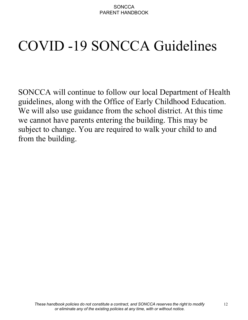# COVID -19 SONCCA Guidelines

SONCCA will continue to follow our local Department of Health guidelines, along with the Office of Early Childhood Education. We will also use guidance from the school district. At this time we cannot have parents entering the building. This may be subject to change. You are required to walk your child to and from the building.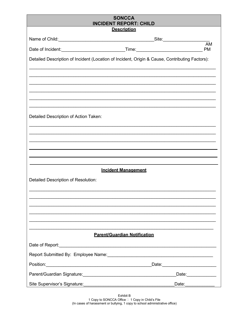| <b>SONCCA</b><br><b>INCIDENT REPORT: CHILD</b>                                                                                                                                                                                 |                              |  |  |  |
|--------------------------------------------------------------------------------------------------------------------------------------------------------------------------------------------------------------------------------|------------------------------|--|--|--|
| <b>Description</b>                                                                                                                                                                                                             |                              |  |  |  |
|                                                                                                                                                                                                                                |                              |  |  |  |
|                                                                                                                                                                                                                                | $\overline{AM}$<br><b>PM</b> |  |  |  |
| Detailed Description of Incident (Location of Incident, Origin & Cause, Contributing Factors):                                                                                                                                 |                              |  |  |  |
|                                                                                                                                                                                                                                |                              |  |  |  |
|                                                                                                                                                                                                                                |                              |  |  |  |
|                                                                                                                                                                                                                                |                              |  |  |  |
|                                                                                                                                                                                                                                |                              |  |  |  |
| Detailed Description of Action Taken:                                                                                                                                                                                          |                              |  |  |  |
|                                                                                                                                                                                                                                |                              |  |  |  |
|                                                                                                                                                                                                                                |                              |  |  |  |
|                                                                                                                                                                                                                                |                              |  |  |  |
|                                                                                                                                                                                                                                |                              |  |  |  |
| <b>Incident Management</b>                                                                                                                                                                                                     |                              |  |  |  |
| Detailed Description of Resolution:                                                                                                                                                                                            |                              |  |  |  |
|                                                                                                                                                                                                                                |                              |  |  |  |
|                                                                                                                                                                                                                                |                              |  |  |  |
|                                                                                                                                                                                                                                |                              |  |  |  |
|                                                                                                                                                                                                                                |                              |  |  |  |
|                                                                                                                                                                                                                                |                              |  |  |  |
| <b>Parent/Guardian Notification</b>                                                                                                                                                                                            |                              |  |  |  |
|                                                                                                                                                                                                                                |                              |  |  |  |
| Report Submitted By: Employee Name: \\concontent \\contact \\contact \\contact \\contact \\contact \\contact \\contact \\contact \\contact \\contact \\contact \\contact \\contact \\contact \\contact \\contact \\contact \\c |                              |  |  |  |
|                                                                                                                                                                                                                                |                              |  |  |  |
|                                                                                                                                                                                                                                | Date: ____________           |  |  |  |
| Site Supervisor's Signature:                                                                                                                                                                                                   | Date:                        |  |  |  |

Exhibit B<br>1 Copy to SONCCA Office □ 1 Copy in Child's File<br>(In cases of harassment or bullying, 1 copy to school administrative office)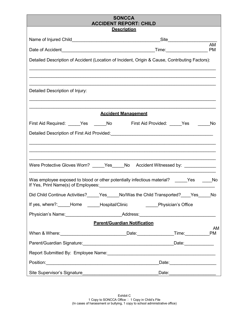| <b>SONCCA</b><br><b>ACCIDENT REPORT: CHILD</b>                                                                                                                                                                                 |  |  |  |  |
|--------------------------------------------------------------------------------------------------------------------------------------------------------------------------------------------------------------------------------|--|--|--|--|
| <b>Description</b>                                                                                                                                                                                                             |  |  |  |  |
| _Site_________________________                                                                                                                                                                                                 |  |  |  |  |
| AM                                                                                                                                                                                                                             |  |  |  |  |
| Detailed Description of Accident (Location of Incident, Origin & Cause, Contributing Factors):                                                                                                                                 |  |  |  |  |
|                                                                                                                                                                                                                                |  |  |  |  |
| Detailed Description of Injury:                                                                                                                                                                                                |  |  |  |  |
| <b>Accident Management</b>                                                                                                                                                                                                     |  |  |  |  |
| First Aid Required: _____Yes ______No First Aid Provided: _____Yes<br><b>No</b>                                                                                                                                                |  |  |  |  |
| Detailed Description of First Aid Provided:<br><u>Detailed Description of First Aid Provided:</u>                                                                                                                              |  |  |  |  |
|                                                                                                                                                                                                                                |  |  |  |  |
| Were Protective Gloves Worn? _____Yes_____No Accident Witnessed by: ____________                                                                                                                                               |  |  |  |  |
| Was employee exposed to blood or other potentially infectious material? ______Yes<br><b>No.</b>                                                                                                                                |  |  |  |  |
| Did Child Continue Activities?<br>No/Was the Child Transported?<br>$Yes_$<br>Yes<br>No                                                                                                                                         |  |  |  |  |
| If yes, where?: Home Hospital/Clinic Physician's Office                                                                                                                                                                        |  |  |  |  |
| Physician's Name: _________________________________Address:______________________                                                                                                                                              |  |  |  |  |
| <b>Parent/Guardian Notification</b><br>AM                                                                                                                                                                                      |  |  |  |  |
| When & Where: PM PM Contract Contract Contract Contract Contract Contract Contract Contract Contract Contract Contract Contract Contract Contract Contract Contract Contract Contract Contract Contract Contract Contract Cont |  |  |  |  |
|                                                                                                                                                                                                                                |  |  |  |  |
|                                                                                                                                                                                                                                |  |  |  |  |
| Date: ___________________                                                                                                                                                                                                      |  |  |  |  |
|                                                                                                                                                                                                                                |  |  |  |  |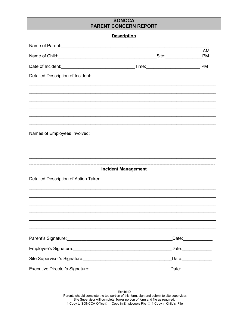### **SONCCA PARENT CONCERN REPORT Description** AM Name of Child: PM Date of Incident: PM Detailed Description of Incident:

Names of Employees Involved:

#### **Incident Management**

\_\_\_\_\_\_\_\_\_\_\_\_\_\_\_\_\_\_\_\_\_\_\_\_\_\_\_\_\_\_\_\_\_\_\_

| Detailed Description of Action Taken:                                     |                                                                                                                                                                                                                                                                                                                                                                                                                                    |
|---------------------------------------------------------------------------|------------------------------------------------------------------------------------------------------------------------------------------------------------------------------------------------------------------------------------------------------------------------------------------------------------------------------------------------------------------------------------------------------------------------------------|
|                                                                           |                                                                                                                                                                                                                                                                                                                                                                                                                                    |
|                                                                           |                                                                                                                                                                                                                                                                                                                                                                                                                                    |
|                                                                           |                                                                                                                                                                                                                                                                                                                                                                                                                                    |
|                                                                           |                                                                                                                                                                                                                                                                                                                                                                                                                                    |
|                                                                           |                                                                                                                                                                                                                                                                                                                                                                                                                                    |
|                                                                           |                                                                                                                                                                                                                                                                                                                                                                                                                                    |
|                                                                           | Date: <u>_______________</u>                                                                                                                                                                                                                                                                                                                                                                                                       |
|                                                                           | Date:____________                                                                                                                                                                                                                                                                                                                                                                                                                  |
|                                                                           | Date:____________                                                                                                                                                                                                                                                                                                                                                                                                                  |
| Executive Director's Signature:<br><u>Executive Director's Signature:</u> | Date: $\frac{1}{\sqrt{1-\frac{1}{2}}\cdot\sqrt{1-\frac{1}{2}}\cdot\sqrt{1-\frac{1}{2}}\cdot\sqrt{1-\frac{1}{2}}\cdot\sqrt{1-\frac{1}{2}}\cdot\sqrt{1-\frac{1}{2}}\cdot\sqrt{1-\frac{1}{2}}\cdot\sqrt{1-\frac{1}{2}}\cdot\sqrt{1-\frac{1}{2}}\cdot\sqrt{1-\frac{1}{2}}\cdot\sqrt{1-\frac{1}{2}}\cdot\sqrt{1-\frac{1}{2}}\cdot\sqrt{1-\frac{1}{2}}\cdot\sqrt{1-\frac{1}{2}}\cdot\sqrt{1-\frac{1}{2}}\cdot\sqrt{1-\frac{1}{2}}\cdot\$ |
|                                                                           |                                                                                                                                                                                                                                                                                                                                                                                                                                    |

Exhibit D Parents should complete the top portion of this form, sign and submit to site supervisor. Site Supervisor will complete 1ower portion of form and file as required. 1 Copy to SONCCA Office □ 1 Copy in Employee's File □ 1 Copy in Child's File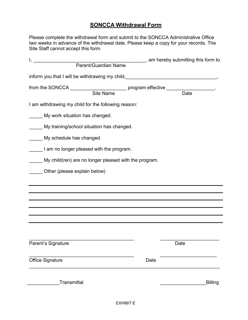#### **SONCCA Withdrawal Form**

Please complete the withdrawal form and submit to the SONCCA Administrative Office two weeks in advance of the withdrawal date. Please keep a copy for your records. The Site Staff cannot accept this form.

| <u>I, produced and the set of the set of the set of the set of the set of the set of the set of the set of the se</u>                                                                                                          | _______, am hereby submitting this form to |                   |                |
|--------------------------------------------------------------------------------------------------------------------------------------------------------------------------------------------------------------------------------|--------------------------------------------|-------------------|----------------|
| Parent/Guardian Name                                                                                                                                                                                                           |                                            |                   |                |
| inform you that I will be withdrawing my child, [10] product and the set of the with the window with the information of the set of the set of the set of the set of the set of the set of the set of the set of the set of the |                                            |                   |                |
| from the SONCCA _______________________________ program effective _______________                                                                                                                                              |                                            |                   |                |
| Site Name                                                                                                                                                                                                                      |                                            | $\overline{Date}$ |                |
| I am withdrawing my child for the following reason:                                                                                                                                                                            |                                            |                   |                |
| My work situation has changed.                                                                                                                                                                                                 |                                            |                   |                |
| My training/school situation has changed.                                                                                                                                                                                      |                                            |                   |                |
| My schedule has changed.                                                                                                                                                                                                       |                                            |                   |                |
| I am no longer pleased with the program.                                                                                                                                                                                       |                                            |                   |                |
| My child(ren) are no longer pleased with the program.                                                                                                                                                                          |                                            |                   |                |
| Other (please explain below)                                                                                                                                                                                                   |                                            |                   |                |
|                                                                                                                                                                                                                                |                                            |                   |                |
|                                                                                                                                                                                                                                |                                            |                   |                |
|                                                                                                                                                                                                                                |                                            |                   |                |
|                                                                                                                                                                                                                                |                                            |                   |                |
|                                                                                                                                                                                                                                |                                            |                   |                |
|                                                                                                                                                                                                                                |                                            |                   |                |
| Parent's Signature                                                                                                                                                                                                             |                                            | Date              |                |
|                                                                                                                                                                                                                                |                                            |                   |                |
| <b>Office Signature</b>                                                                                                                                                                                                        | Date                                       |                   |                |
|                                                                                                                                                                                                                                |                                            |                   |                |
| Transmittal                                                                                                                                                                                                                    |                                            |                   | <b>Billing</b> |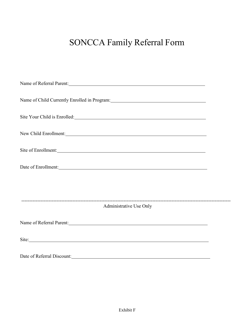### SONCCA Family Referral Form

| Name of Referral Parent: 1997 and 1997 and 1997 and 1997 and 1997 and 1997 and 1997 and 1997 and 1997 and 1997                                                                                                                 |  |
|--------------------------------------------------------------------------------------------------------------------------------------------------------------------------------------------------------------------------------|--|
|                                                                                                                                                                                                                                |  |
| Site Your Child is Enrolled: Note that the Second State Second State State State State State State State State State State State State State State State State State State State State State State State State State State Sta |  |
| New Child Enrollment:                                                                                                                                                                                                          |  |
| Site of Enrollment:                                                                                                                                                                                                            |  |
|                                                                                                                                                                                                                                |  |
|                                                                                                                                                                                                                                |  |
| Administrative Use Only                                                                                                                                                                                                        |  |
|                                                                                                                                                                                                                                |  |
| Name of Referral Parent: Manual Communication of Referral Parent:                                                                                                                                                              |  |
| Site: Site:                                                                                                                                                                                                                    |  |
|                                                                                                                                                                                                                                |  |